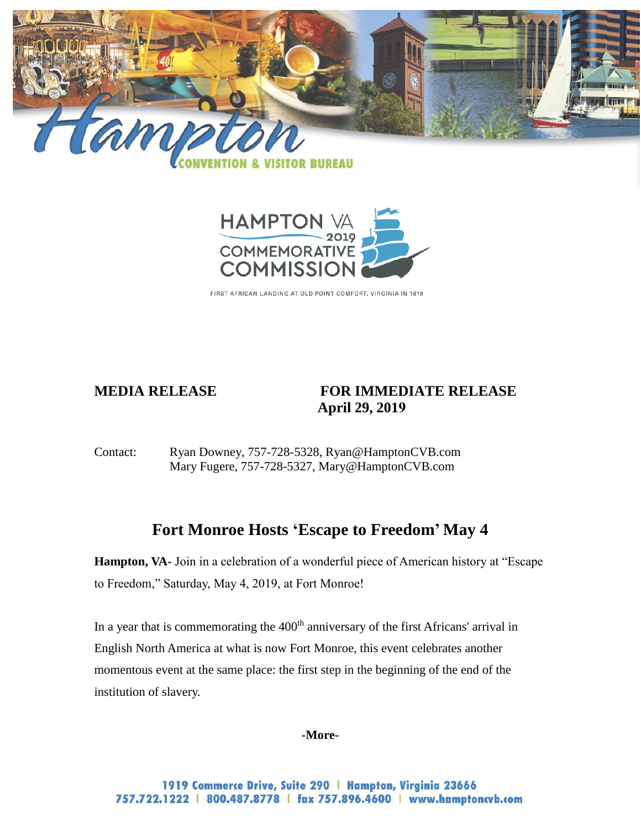



FIRST AFRICAN LANDING AT OLD POINT COMFORT, VIRGINIA IN 1619

## **MEDIA RELEASE FOR IMMEDIATE RELEASE April 29, 2019**

Contact: Ryan Downey, 757-728-5328, [Ryan@HamptonCVB.com](mailto:Ryan@HamptonCVB.com) Mary Fugere, 757-728-5327, [Mary@HamptonCVB.com](mailto:Mary@HamptonCVB.com)

# **Fort Monroe Hosts 'Escape to Freedom' May 4**

**Hampton, VA-** Join in a celebration of a wonderful piece of American history at "Escape to Freedom," Saturday, May 4, 2019, at Fort Monroe!

In a year that is commemorating the  $400<sup>th</sup>$  anniversary of the first Africans' arrival in English North America at what is now Fort Monroe, this event celebrates another momentous event at the same place: the first step in the beginning of the end of the institution of slavery.

**-More-**

1919 Commerce Drive, Suite 290 | Hampton, Virginia 23666 757.722.1222 | 800.487.8778 | fax 757.896.4600 | www.hamptoncvb.com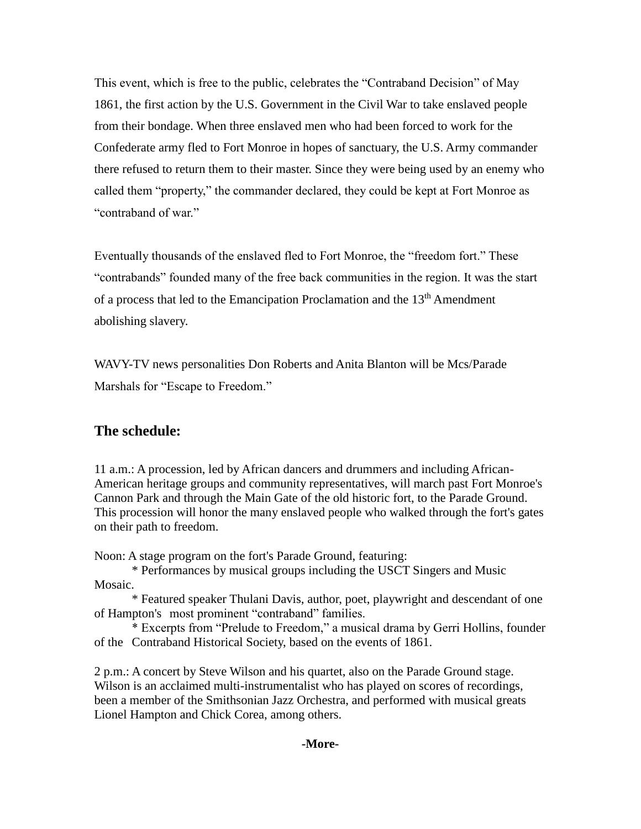This event, which is free to the public, celebrates the "Contraband Decision" of May 1861, the first action by the U.S. Government in the Civil War to take enslaved people from their bondage. When three enslaved men who had been forced to work for the Confederate army fled to Fort Monroe in hopes of sanctuary, the U.S. Army commander there refused to return them to their master. Since they were being used by an enemy who called them "property," the commander declared, they could be kept at Fort Monroe as "contraband of war."

Eventually thousands of the enslaved fled to Fort Monroe, the "freedom fort." These "contrabands" founded many of the free back communities in the region. It was the start of a process that led to the Emancipation Proclamation and the  $13<sup>th</sup>$  Amendment abolishing slavery.

WAVY-TV news personalities Don Roberts and Anita Blanton will be Mcs/Parade Marshals for "Escape to Freedom."

## **The schedule:**

11 a.m.: A procession, led by African dancers and drummers and including African-American heritage groups and community representatives, will march past Fort Monroe's Cannon Park and through the Main Gate of the old historic fort, to the Parade Ground. This procession will honor the many enslaved people who walked through the fort's gates on their path to freedom.

Noon: A stage program on the fort's Parade Ground, featuring:

\* Performances by musical groups including the USCT Singers and Music Mosaic.

\* Featured speaker Thulani Davis, author, poet, playwright and descendant of one of Hampton's most prominent "contraband" families.

\* Excerpts from "Prelude to Freedom," a musical drama by Gerri Hollins, founder of the Contraband Historical Society, based on the events of 1861.

2 p.m.: A concert by Steve Wilson and his quartet, also on the Parade Ground stage. Wilson is an acclaimed multi-instrumentalist who has played on scores of recordings, been a member of the Smithsonian Jazz Orchestra, and performed with musical greats Lionel Hampton and Chick Corea, among others.

## **-More-**